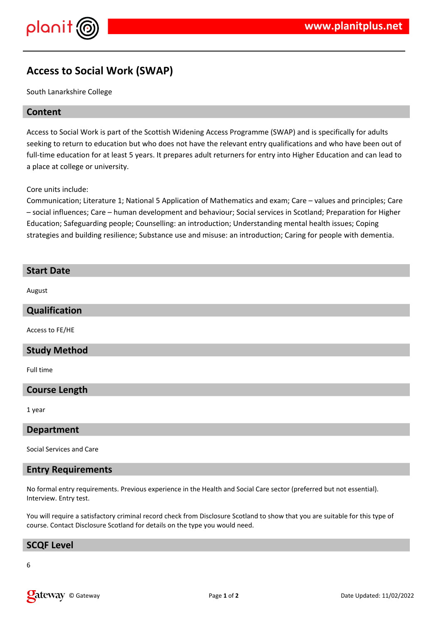# **Access to Social Work (SWAP)**

South Lanarkshire College

### **Content**

Access to Social Work is part of the Scottish Widening Access Programme (SWAP) and is specifically for adults seeking to return to education but who does not have the relevant entry qualifications and who have been out of full-time education for at least 5 years. It prepares adult returners for entry into Higher Education and can lead to a place at college or university.

Core units include:

Communication; Literature 1; National 5 Application of Mathematics and exam; Care – values and principles; Care – social influences; Care – human development and behaviour; Social services in Scotland; Preparation for Higher Education; Safeguarding people; Counselling: an introduction; Understanding mental health issues; Coping strategies and building resilience; Substance use and misuse: an introduction; Caring for people with dementia.

| <b>Start Date</b>        |
|--------------------------|
| August                   |
| Qualification            |
| Access to FE/HE          |
| <b>Study Method</b>      |
| Full time                |
| <b>Course Length</b>     |
| 1 year                   |
| <b>Department</b>        |
| Social Services and Care |

## **Entry Requirements**

No formal entry requirements. Previous experience in the Health and Social Care sector (preferred but not essential). Interview. Entry test.

You will require a satisfactory criminal record check from Disclosure Scotland to show that you are suitable for this type of course. Contact Disclosure Scotland for details on the type you would need.

#### **SCQF Level**